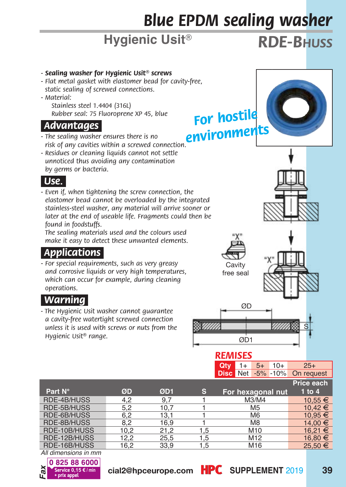# *Blue EPDM sealing washer*

# **Hygienic Usit<sup>®</sup> <b>***RDE-B<sub>HUSS</sub>*

- *Sealing washer for Hygienic Usit® screws*
- *Flat metal gasket with elastomer bead for cavity-free, static sealing of screwed connections.*
- *Material:*

 *Stainless steel 1.4404 (316L) Rubber seal: 75 Fluoroprene XP 45, blue*

#### *Advantages.*

- *The sealing washer ensures there is no risk of any cavities within a screwed connection.*
- *Residues or cleaning liquids cannot not settle unnoticed thus avoiding any contamination by germs or bacteria.*



*- Even if, when tightening the screw connection, the elastomer bead cannot be overloaded by the integrated stainless-steel washer, any material will arrive sooner or*  later at the end of useable life. Fragments could then be *found in foodstuffs.*

 *The sealing materials used and the colours used make it easy to detect these unwanted elements.*

### *Applications.*

*- For special requirements, such as very greasy and corrosive liquids or very high temperatures, which can occur for example, during cleaning operations.*

### *Warning.*

*- The Hygienic Usit washer cannot guarantee a cavity-free watertight screwed connection unless it is used with screws or nuts from the Hygienic Usit® range.*

| ree.                       |  |
|----------------------------|--|
| For hostile<br>nvironments |  |





*environments*





#### *REMISES*

**Qty** 1+ 5+ 10+ 25+<br>**Disc** Net -5% -10% On request **Disc** Net -5% -10%

|              |      |      |     |                   | Price each |
|--------------|------|------|-----|-------------------|------------|
| Part N°      | ØD   | ØD1  | s.  | For hexagonal nut | $1$ to $4$ |
| RDE-4B/HUSS  | 4.2  | 9.7  |     | M3/M4             | 10.55 €    |
| RDE-5B/HUSS  | 5.2  | 10,7 |     | M <sub>5</sub>    | 10.42 €    |
| RDE-6B/HUSS  | 6.2  | 13.1 |     | M <sub>6</sub>    | 10.95 €    |
| RDE-8B/HUSS  | 8.2  | 16.9 |     | M <sub>8</sub>    | 14.00 €    |
| RDE-10B/HUSS | 10.2 | 21.2 | 1.5 | M <sub>10</sub>   | 16.21 €    |
| RDE-12B/HUSS | 12.2 | 25.5 | 1.5 | M12               | 16.80 €    |
| RDE-16B/HUSS | 16.2 | 33.9 | 1.5 | M16               | 25.50 €    |

*All dimensions in mm*